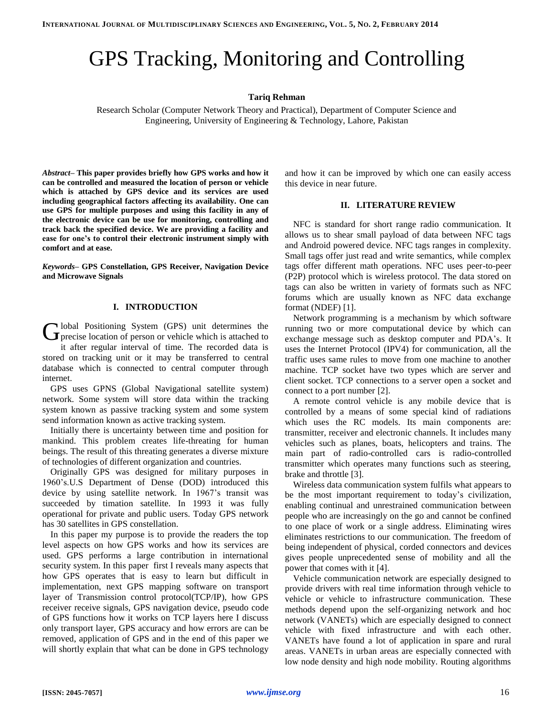# GPS Tracking, Monitoring and Controlling

# **Tariq Rehman**

Research Scholar (Computer Network Theory and Practical), Department of Computer Science and Engineering, University of Engineering & Technology, Lahore, Pakistan

*Abstract–* **This paper provides briefly how GPS works and how it can be controlled and measured the location of person or vehicle which is attached by GPS device and its services are used including geographical factors affecting its availability. One can use GPS for multiple purposes and using this facility in any of the electronic device can be use for monitoring, controlling and track back the specified device. We are providing a facility and ease for one's to control their electronic instrument simply with comfort and at ease.** 

*Keywords–* **GPS Constellation, GPS Receiver, Navigation Device and Microwave Signals**

## **I. INTRODUCTION**

lobal Positioning System (GPS) unit determines the Global Positioning System (GPS) unit determines the precise location of person or vehicle which is attached to it after regular interval of time. The recorded data is stored on tracking unit or it may be transferred to central database which is connected to central computer through internet.

GPS uses GPNS (Global Navigational satellite system) network. Some system will store data within the tracking system known as passive tracking system and some system send information known as active tracking system.

Initially there is uncertainty between time and position for mankind. This problem creates life-threating for human beings. The result of this threating generates a diverse mixture of technologies of different organization and countries.

Originally GPS was designed for military purposes in 1960's.U.S Department of Dense (DOD) introduced this device by using satellite network. In 1967's transit was succeeded by timation satellite. In 1993 it was fully operational for private and public users. Today GPS network has 30 satellites in GPS constellation.

In this paper my purpose is to provide the readers the top level aspects on how GPS works and how its services are used. GPS performs a large contribution in international security system. In this paper first I reveals many aspects that how GPS operates that is easy to learn but difficult in implementation, next GPS mapping software on transport layer of Transmission control protocol(TCP/IP), how GPS receiver receive signals, GPS navigation device, pseudo code of GPS functions how it works on TCP layers here I discuss only transport layer, GPS accuracy and how errors are can be removed, application of GPS and in the end of this paper we will shortly explain that what can be done in GPS technology and how it can be improved by which one can easily access this device in near future.

#### **II. LITERATURE REVIEW**

NFC is standard for short range radio communication. It allows us to shear small payload of data between NFC tags and Android powered device. NFC tags ranges in complexity. Small tags offer just read and write semantics, while complex tags offer different math operations. NFC uses peer-to-peer (P2P) protocol which is wireless protocol. The data stored on tags can also be written in variety of formats such as NFC forums which are usually known as NFC data exchange format (NDEF) [1].

Network programming is a mechanism by which software running two or more computational device by which can exchange message such as desktop computer and PDA's. It uses the Internet Protocol (IPV4) for communication, all the traffic uses same rules to move from one machine to another machine. TCP socket have two types which are server and client socket. TCP connections to a server open a socket and connect to a port number [2].

A remote control vehicle is any mobile device that is controlled by a means of some special kind of radiations which uses the RC models. Its main components are: transmitter, receiver and electronic channels. It includes many vehicles such as planes, boats, helicopters and trains. The main part of radio-controlled cars is radio-controlled transmitter which operates many functions such as steering, brake and throttle [3].

Wireless data communication system fulfils what appears to be the most important requirement to today's civilization, enabling continual and unrestrained communication between people who are increasingly on the go and cannot be confined to one place of work or a single address. Eliminating wires eliminates restrictions to our communication. The freedom of being independent of physical, corded connectors and devices gives people unprecedented sense of mobility and all the power that comes with it [4].

Vehicle communication network are especially designed to provide drivers with real time information through vehicle to vehicle or vehicle to infrastructure communication. These methods depend upon the self-organizing network and hoc network (VANETs) which are especially designed to connect vehicle with fixed infrastructure and with each other. VANETs have found a lot of application in spare and rural areas. VANETs in urban areas are especially connected with low node density and high node mobility. Routing algorithms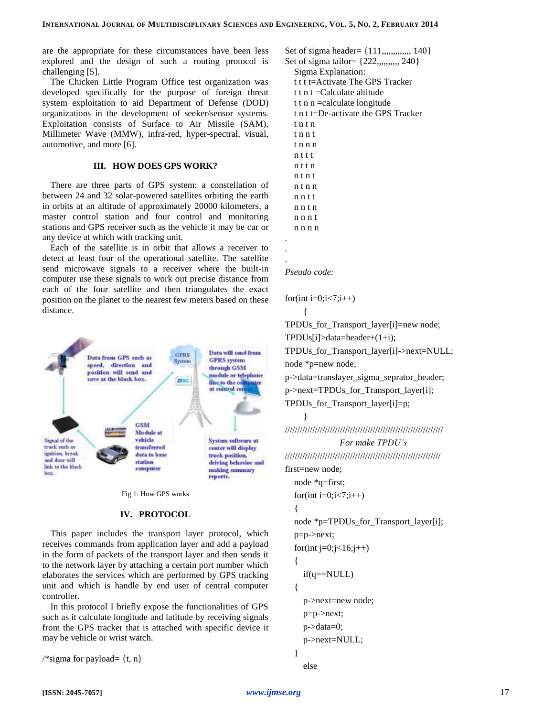are the appropriate for these circumstances have been less explored and the design of such a routing protocol is challenging [5].

The Chicken Little Program Office test organization was developed specifically for the purpose of foreign threat system exploitation to aid Department of Defense (DOD) organizations in the development of seeker/sensor systems. Exploitation consists of Surface to Air Missile (SAM), Millimeter Wave (MMW), infra-red, hyper-spectral, visual, automotive, and more [6].

## **III. HOW DOES GPS WORK?**

There are three parts of GPS system: a constellation of between 24 and 32 solar-powered satellites orbiting the earth in orbits at an altitude of approximately 20000 kilometers, a master control station and four control and monitoring stations and GPS receiver such as the vehicle it may be car or any device at which with tracking unit.

Each of the satellite is in orbit that allows a receiver to detect at least four of the operational satellite. The satellite send microwave signals to a receiver where the built-in computer use these signals to work out precise distance from each of the four satellite and then triangulates the exact position on the planet to the nearest few meters based on these distance.



Fig 1: How GPS works

#### **IV. PROTOCOL**

This paper includes the transport layer protocol, which receives commands from application layer and add a payload in the form of packets of the transport layer and then sends it to the network layer by attaching a certain port number which elaborates the services which are performed by GPS tracking unit and which is handle by end user of central computer controller.

In this protocol I briefly expose the functionalities of GPS such as it calculate longitude and latitude by receiving signals from the GPS tracker that is attached with specific device it may be vehicle or wrist watch.

/\*sigma for payload=  $\{t, n\}$ 

Set of sigma header= {111,,,,,,,,,,,,,,,,,,140} Set of sigma tailor=  $\{222, \dots, 240\}$ Sigma Explanation: t t t t=Activate The GPS Tracker t t n t  $=$ Calculate altitude t t n n =calculate longitude t n t t=De-activate the GPS Tracker t n t n t n n t t n n n n t t t n t t n n t n t n t n n n n t t n n t n n n n t n n n n

. . .

## *Pseudo code:*

for(int i=0;i<7;i++)

{

TPDUs\_for\_Transport\_layer[i]=new node;

TPDUs[i]>data=header+(1+i);

TPDUs for Transport layer[i]->next=NULL;

node \*p=new node;

p->data=translayer\_sigma\_seprator\_header;

p->next=TPDUs\_for\_Transport\_layer[i];

TPDUs\_for\_Transport\_layer[i]=p;

}

///////////////////////////////////////////////////////////////

*For make TPDU's* //////////////////////////////////////////////////////////////

first=new node; node \*q=first;

for(int i=0;i<7;i++) { node \*p=TPDUs\_for\_Transport\_layer[i]; p=p->next; for(int  $j=0; j<16; j++)$ { if(q==NULL) { p->next=new node; p=p->next; p->data=0; p->next=NULL;

$$
\begin{array}{c}\n\text{else}\n\end{array}
$$

}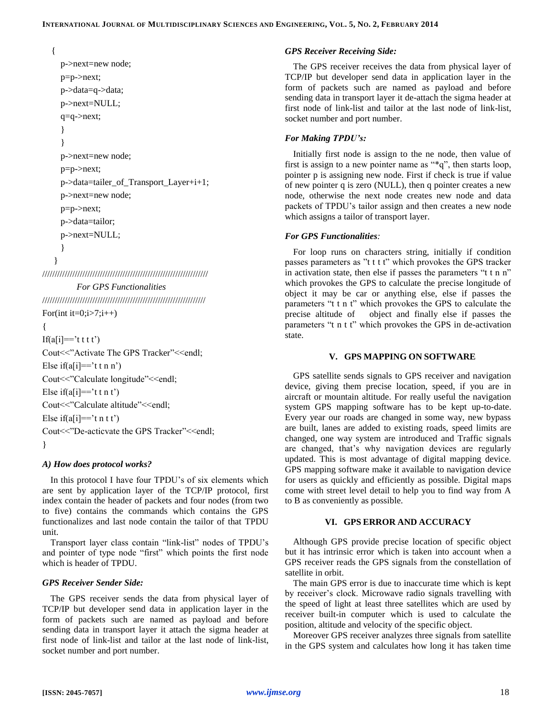```
{
p->next=new node;
```
p=p->next; p->data=q->data; p->next=NULL; q=q->next; } } p->next=new node; p=p->next; p->data=tailer\_of\_Transport\_Layer+i+1; p->next=new node; p=p->next; p->data=tailor; p->next=NULL; } }

//////////////////////////////////////////////////////////////////

*For GPS Functionalities*

/////////////////////////////////////////////////////////////////

For(int it=0;i>7;i++)

If( $a[i] == 't t t')$ 

{

Cout<<"Activate The GPS Tracker"<<endl; Else if( $a[i] == 't t n n'$ ) Cout<<"Calculate longitude"<<endl; Else if( $a[i] == 't t n t'$ ) Cout<<"Calculate altitude"<<endl; Else if(a[i]=='t n t t') Cout<<"De-acticvate the GPS Tracker"<<endl; }

## *A) How does protocol works?*

In this protocol I have four TPDU's of six elements which are sent by application layer of the TCP/IP protocol, first index contain the header of packets and four nodes (from two to five) contains the commands which contains the GPS functionalizes and last node contain the tailor of that TPDU unit.

Transport layer class contain "link-list" nodes of TPDU's and pointer of type node "first" which points the first node which is header of TPDU.

# *GPS Receiver Sender Side:*

The GPS receiver sends the data from physical layer of TCP/IP but developer send data in application layer in the form of packets such are named as payload and before sending data in transport layer it attach the sigma header at first node of link-list and tailor at the last node of link-list, socket number and port number.

#### *GPS Receiver Receiving Side:*

The GPS receiver receives the data from physical layer of TCP/IP but developer send data in application layer in the form of packets such are named as payload and before sending data in transport layer it de-attach the sigma header at first node of link-list and tailor at the last node of link-list, socket number and port number.

### *For Making TPDU's:*

Initially first node is assign to the ne node, then value of first is assign to a new pointer name as "\*q", then starts loop, pointer p is assigning new node. First if check is true if value of new pointer q is zero (NULL), then q pointer creates a new node, otherwise the next node creates new node and data packets of TPDU's tailor assign and then creates a new node which assigns a tailor of transport layer.

### *For GPS Functionalities:*

For loop runs on characters string, initially if condition passes parameters as "t t t t" which provokes the GPS tracker in activation state, then else if passes the parameters "t t n n" which provokes the GPS to calculate the precise longitude of object it may be car or anything else, else if passes the parameters "t t n t" which provokes the GPS to calculate the precise altitude of object and finally else if passes the parameters "t n t t" which provokes the GPS in de-activation state.

#### **V. GPS MAPPING ON SOFTWARE**

GPS satellite sends signals to GPS receiver and navigation device, giving them precise location, speed, if you are in aircraft or mountain altitude. For really useful the navigation system GPS mapping software has to be kept up-to-date. Every year our roads are changed in some way, new bypass are built, lanes are added to existing roads, speed limits are changed, one way system are introduced and Traffic signals are changed, that's why navigation devices are regularly updated. This is most advantage of digital mapping device. GPS mapping software make it available to navigation device for users as quickly and efficiently as possible. Digital maps come with street level detail to help you to find way from A to B as conveniently as possible.

## **VI. GPS ERROR AND ACCURACY**

Although GPS provide precise location of specific object but it has intrinsic error which is taken into account when a GPS receiver reads the GPS signals from the constellation of satellite in orbit.

The main GPS error is due to inaccurate time which is kept by receiver's clock. Microwave radio signals travelling with the speed of light at least three satellites which are used by receiver built-in computer which is used to calculate the position, altitude and velocity of the specific object.

Moreover GPS receiver analyzes three signals from satellite in the GPS system and calculates how long it has taken time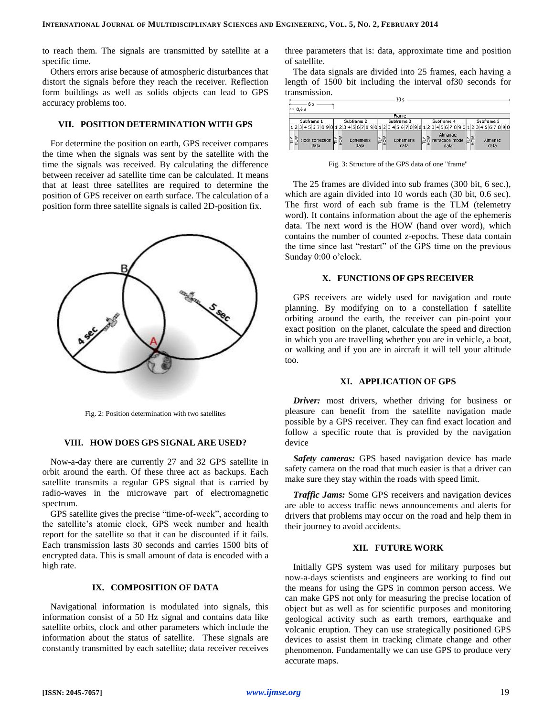to reach them. The signals are transmitted by satellite at a specific time.

Others errors arise because of atmospheric disturbances that distort the signals before they reach the receiver. Reflection form buildings as well as solids objects can lead to GPS accuracy problems too.

# **VII. POSITION DETERMINATION WITH GPS**

For determine the position on earth, GPS receiver compares the time when the signals was sent by the satellite with the time the signals was received. By calculating the difference between receiver ad satellite time can be calculated. It means that at least three satellites are required to determine the position of GPS receiver on earth surface. The calculation of a position form three satellite signals is called 2D-position fix.



Fig. 2: Position determination with two satellites

#### **VIII. HOW DOES GPS SIGNAL ARE USED?**

Now-a-day there are currently 27 and 32 GPS satellite in orbit around the earth. Of these three act as backups. Each satellite transmits a regular GPS signal that is carried by radio-waves in the microwave part of electromagnetic spectrum.

GPS satellite gives the precise "time-of-week", according to the satellite's atomic clock, GPS week number and health report for the satellite so that it can be discounted if it fails. Each transmission lasts 30 seconds and carries 1500 bits of encrypted data. This is small amount of data is encoded with a high rate.

## **IX. COMPOSITION OF DATA**

Navigational information is modulated into signals, this information consist of a 50 Hz signal and contains data like satellite orbits, clock and other parameters which include the information about the status of satellite. These signals are constantly transmitted by each satellite; data receiver receives three parameters that is: data, approximate time and position of satellite.

The data signals are divided into 25 frames, each having a length of 1500 bit including the interval of30 seconds for transmission.

| 6 s                      |                          | 30 <sub>s</sub>                                    |                                           |                 |
|--------------------------|--------------------------|----------------------------------------------------|-------------------------------------------|-----------------|
| $\leftrightarrow$ 0.6 s  |                          |                                                    |                                           |                 |
| Frame                    |                          |                                                    |                                           |                 |
| Subframe 1               | Subframe 2               | Subframe 3                                         | Subframe 4                                | Subframe 5      |
|                          |                          | 12345678901234567890123456789012345678901234567890 |                                           |                 |
| clock correction<br>data | lΣ§<br>Ephemeris<br>data | EŠ<br>F<br>Ephemeris<br>data                       | Almanac:<br>refraction model $55$<br>data | Almanac<br>data |

Fig. 3: Structure of the GPS data of one "frame"

The 25 frames are divided into sub frames (300 bit, 6 sec.), which are again divided into 10 words each (30 bit, 0.6 sec). The first word of each sub frame is the TLM (telemetry word). It contains information about the age of the ephemeris data. The next word is the HOW (hand over word), which contains the number of counted z-epochs. These data contain the time since last "restart" of the GPS time on the previous Sunday 0:00 o'clock.

## **X. FUNCTIONS OF GPS RECEIVER**

GPS receivers are widely used for navigation and route planning. By modifying on to a constellation f satellite orbiting around the earth, the receiver can pin-point your exact position on the planet, calculate the speed and direction in which you are travelling whether you are in vehicle, a boat, or walking and if you are in aircraft it will tell your altitude too.

#### **XI. APPLICATION OF GPS**

*Driver:* most drivers, whether driving for business or pleasure can benefit from the satellite navigation made possible by a GPS receiver. They can find exact location and follow a specific route that is provided by the navigation device

*Safety cameras:* GPS based navigation device has made safety camera on the road that much easier is that a driver can make sure they stay within the roads with speed limit.

*Traffic Jams:* Some GPS receivers and navigation devices are able to access traffic news announcements and alerts for drivers that problems may occur on the road and help them in their journey to avoid accidents.

## **XII. FUTURE WORK**

Initially GPS system was used for military purposes but now-a-days scientists and engineers are working to find out the means for using the GPS in common person access. We can make GPS not only for measuring the precise location of object but as well as for scientific purposes and monitoring geological activity such as earth tremors, earthquake and volcanic eruption. They can use strategically positioned GPS devices to assist them in tracking climate change and other phenomenon. Fundamentally we can use GPS to produce very accurate maps.